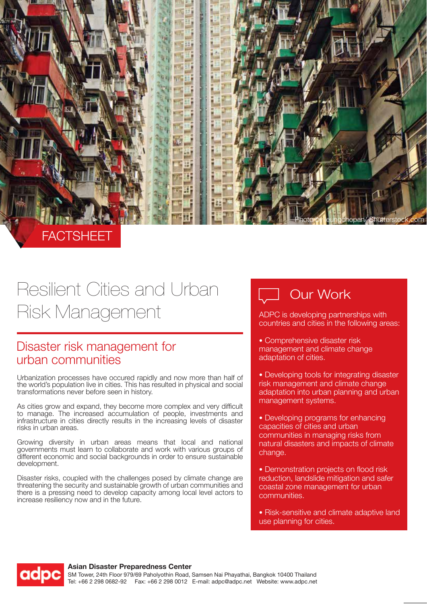

### **FACTSHEET**

# Resilient Cities and Urban Risk Management

#### Disaster risk management for urban communities

Urbanization processes have occured rapidly and now more than half of the world's population live in cities. This has resulted in physical and social transformations never before seen in history.

As cities grow and expand, they become more complex and very difficult to manage. The increased accumulation of people, investments and infrastructure in cities directly results in the increasing levels of disaster risks in urban areas.

Growing diversity in urban areas means that local and national governments must learn to collaborate and work with various groups of different economic and social backgrounds in order to ensure sustainable development.

Disaster risks, coupled with the challenges posed by climate change are threatening the security and sustainable growth of urban communities and there is a pressing need to develop capacity among local level actors to increase resiliency now and in the future.



ADPC is developing partnerships with countries and cities in the following areas:

- Comprehensive disaster risk management and climate change adaptation of cities.
- Developing tools for integrating disaster risk management and climate change adaptation into urban planning and urban management systems.
- Developing programs for enhancing capacities of cities and urban communities in managing risks from natural disasters and impacts of climate change.
- Demonstration projects on flood risk reduction, landslide mitigation and safer coastal zone management for urban communities.
- Risk-sensitive and climate adaptive land use planning for cities.